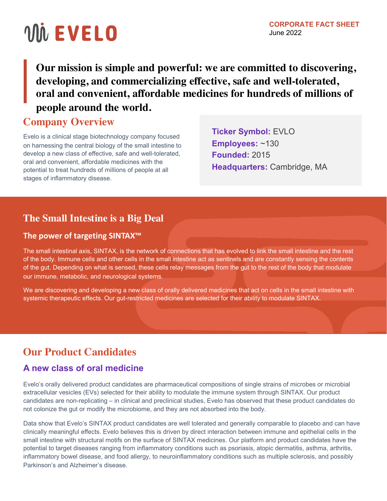# VIN EVELO

**Our mission is simple and powerful: we are committed to discovering, developing, and commercializing effective, safe and well-tolerated, oral and convenient, affordable medicines for hundreds of millions of people around the world.**

## **Company Overview**

Evelo is a clinical stage biotechnology company focused on harnessing the central biology of the small intestine to develop a new class of effective, safe and well-tolerated, oral and convenient, affordable medicines with the potential to treat hundreds of millions of people at all stages of inflammatory disease.

**Ticker Symbol:** EVLO **Employees:** ~130 **Founded:** 2015 **Headquarters:** Cambridge, MA

# **The Small Intestine is a Big Deal**

#### **The power of targeting SINTAX™**

The small intestinal axis, SINTAX, is the network of connections that has evolved to link the small intestine and the rest of the body. Immune cells and other cells in the small intestine act as sentinels and are constantly sensing the contents of the gut. Depending on what is sensed, these cells relay messages from the gut to the rest of the body that modulate our immune, metabolic, and neurological systems.

We are discovering and developing a new class of orally delivered medicines that act on cells in the small intestine with systemic therapeutic effects. Our gut-restricted medicines are selected for their ability to modulate SINTAX.

# **Our Product Candidates**

### **A new class of oral medicine**

Evelo's orally delivered product candidates are pharmaceutical compositions of single strains of microbes or microbial extracellular vesicles (EVs) selected for their ability to modulate the immune system through SINTAX. Our product candidates are non-replicating – in clinical and preclinical studies, Evelo has observed that these product candidates do not colonize the gut or modify the microbiome, and they are not absorbed into the body.

Data show that Evelo's SINTAX product candidates are well tolerated and generally comparable to placebo and can have clinically meaningful effects. Evelo believes this is driven by direct interaction between immune and epithelial cells in the small intestine with structural motifs on the surface of SINTAX medicines. Our platform and product candidates have the potential to target diseases ranging from inflammatory conditions such as psoriasis, atopic dermatitis, asthma, arthritis, inflammatory bowel disease, and food allergy, to neuroinflammatory conditions such as multiple sclerosis, and possibly Parkinson's and Alzheimer's disease.